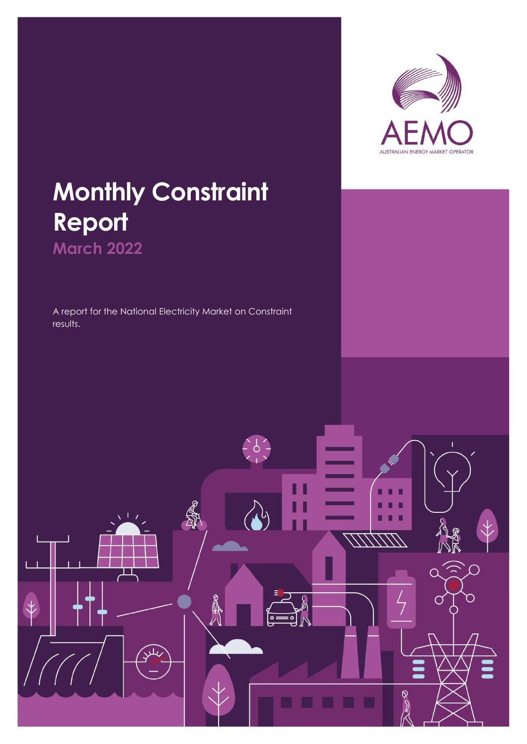

## **Monthly Constraint Report March 2022**

A report for the National Electricity Market on Constraint results.

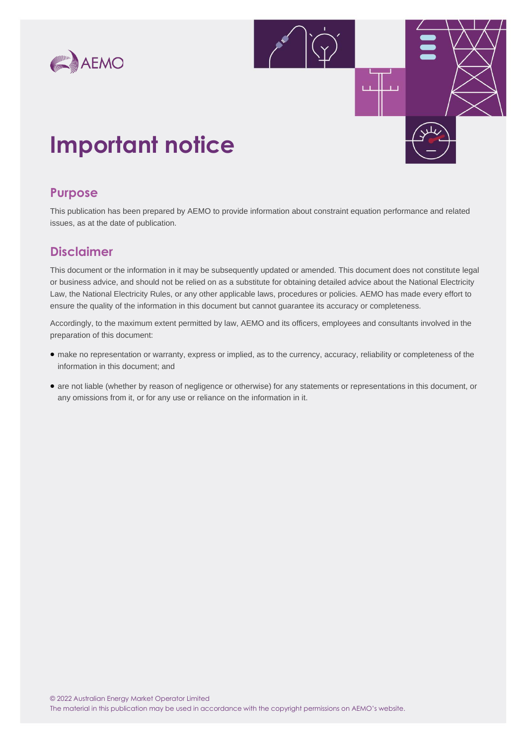



## **Important notice**

### **Purpose**

This publication has been prepared by AEMO to provide information about constraint equation performance and related issues, as at the date of publication.

## **Disclaimer**

This document or the information in it may be subsequently updated or amended. This document does not constitute legal or business advice, and should not be relied on as a substitute for obtaining detailed advice about the National Electricity Law, the National Electricity Rules, or any other applicable laws, procedures or policies. AEMO has made every effort to ensure the quality of the information in this document but cannot guarantee its accuracy or completeness.

Accordingly, to the maximum extent permitted by law, AEMO and its officers, employees and consultants involved in the preparation of this document:

- make no representation or warranty, express or implied, as to the currency, accuracy, reliability or completeness of the information in this document; and
- are not liable (whether by reason of negligence or otherwise) for any statements or representations in this document, or any omissions from it, or for any use or reliance on the information in it.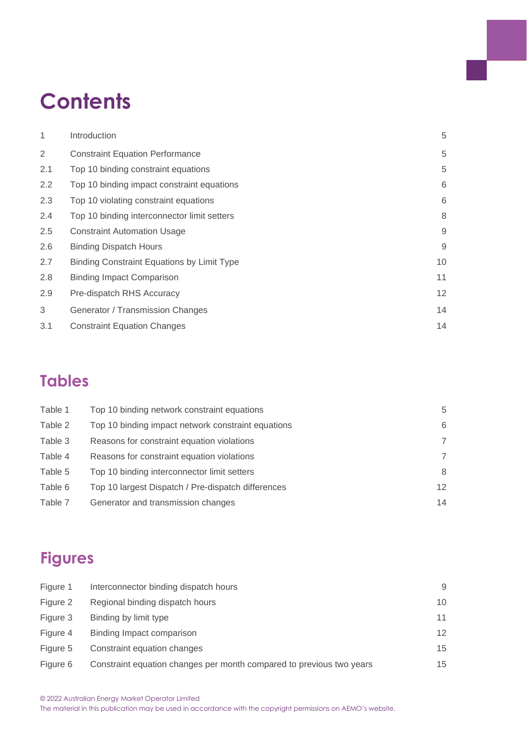## **Contents**

| 1              | Introduction                                      | 5  |
|----------------|---------------------------------------------------|----|
| $\overline{2}$ | <b>Constraint Equation Performance</b>            | 5  |
| 2.1            | Top 10 binding constraint equations               | 5  |
| 2.2            | Top 10 binding impact constraint equations        | 6  |
| 2.3            | Top 10 violating constraint equations             | 6  |
| 2.4            | Top 10 binding interconnector limit setters       | 8  |
| 2.5            | <b>Constraint Automation Usage</b>                | 9  |
| 2.6            | <b>Binding Dispatch Hours</b>                     | 9  |
| 2.7            | <b>Binding Constraint Equations by Limit Type</b> | 10 |
| 2.8            | <b>Binding Impact Comparison</b>                  | 11 |
| 2.9            | Pre-dispatch RHS Accuracy                         | 12 |
| 3              | Generator / Transmission Changes                  | 14 |
| 3.1            | <b>Constraint Equation Changes</b>                | 14 |

## **Tables**

| Table 1 | Top 10 binding network constraint equations        | 5               |
|---------|----------------------------------------------------|-----------------|
| Table 2 | Top 10 binding impact network constraint equations | 6               |
| Table 3 | Reasons for constraint equation violations         | 7               |
| Table 4 | Reasons for constraint equation violations         | 7               |
| Table 5 | Top 10 binding interconnector limit setters        | 8               |
| Table 6 | Top 10 largest Dispatch / Pre-dispatch differences | 12 <sup>2</sup> |
| Table 7 | Generator and transmission changes                 | 14              |

## **Figures**

| Figure 1 | Interconnector binding dispatch hours                                | 9  |
|----------|----------------------------------------------------------------------|----|
| Figure 2 | Regional binding dispatch hours                                      | 10 |
| Figure 3 | Binding by limit type                                                | 11 |
| Figure 4 | Binding Impact comparison                                            | 12 |
| Figure 5 | Constraint equation changes                                          | 15 |
| Figure 6 | Constraint equation changes per month compared to previous two years | 15 |
|          |                                                                      |    |

The material in this publication may be used in accordance with the copyright permissions on AEMO's website.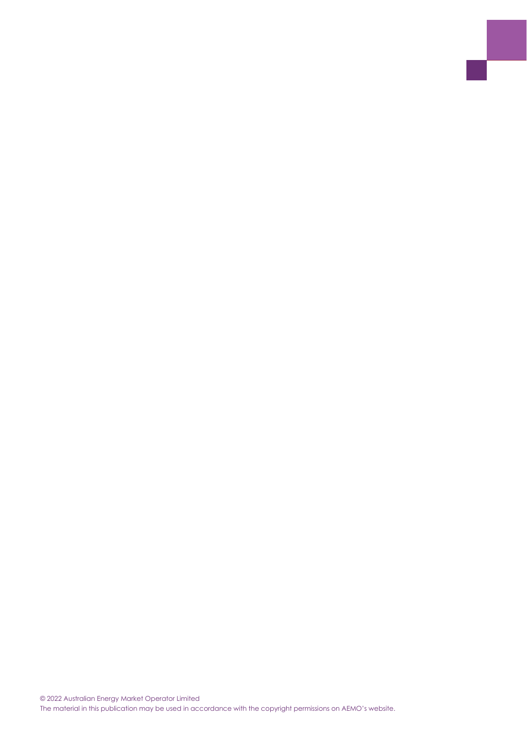© 2022 Australian Energy Market Operator Limited The material in this publication may be used in accordance with the copyright permissions on AEMO's website.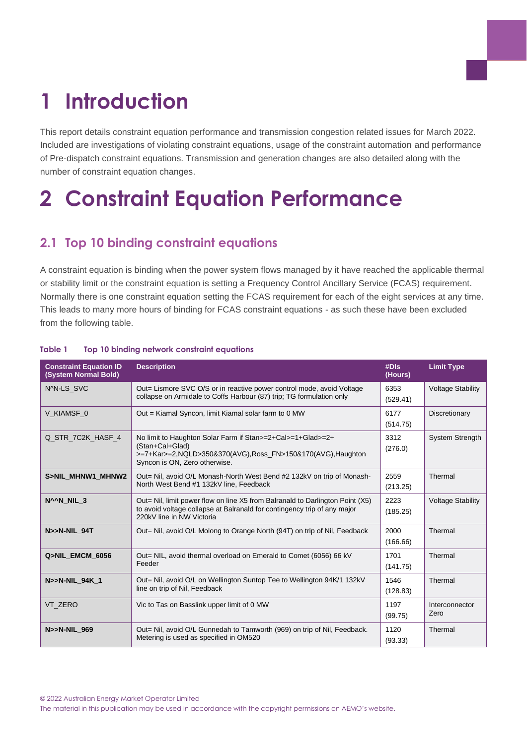## <span id="page-4-0"></span>**1 Introduction**

This report details constraint equation performance and transmission congestion related issues for March 2022. Included are investigations of violating constraint equations, usage of the constraint automation and performance of Pre-dispatch constraint equations. Transmission and generation changes are also detailed along with the number of constraint equation changes.

## <span id="page-4-1"></span>**2 Constraint Equation Performance**

## <span id="page-4-2"></span>**2.1 Top 10 binding constraint equations**

A constraint equation is binding when the power system flows managed by it have reached the applicable thermal or stability limit or the constraint equation is setting a Frequency Control Ancillary Service (FCAS) requirement. Normally there is one constraint equation setting the FCAS requirement for each of the eight services at any time. This leads to many more hours of binding for FCAS constraint equations - as such these have been excluded from the following table.

| <b>Constraint Equation ID</b><br>(System Normal Bold)                                                                                                                                             | <b>Description</b>                                                                                                                                                                     | #DIs<br>(Hours)  | <b>Limit Type</b>        |
|---------------------------------------------------------------------------------------------------------------------------------------------------------------------------------------------------|----------------------------------------------------------------------------------------------------------------------------------------------------------------------------------------|------------------|--------------------------|
| NAN-LS SVC                                                                                                                                                                                        | Out= Lismore SVC O/S or in reactive power control mode, avoid Voltage<br>collapse on Armidale to Coffs Harbour (87) trip; TG formulation only                                          |                  | <b>Voltage Stability</b> |
| V KIAMSF 0                                                                                                                                                                                        | Out = Kiamal Syncon, limit Kiamal solar farm to 0 MW                                                                                                                                   | 6177<br>(514.75) | Discretionary            |
| Q STR 7C2K HASF 4<br>No limit to Haughton Solar Farm if Stan>=2+Cal>=1+Glad>=2+<br>(Stan+Cal+Glad)<br>>=7+Kar>=2,NQLD>350&370(AVG),Ross_FN>150&170(AVG),Haughton<br>Syncon is ON, Zero otherwise. |                                                                                                                                                                                        | 3312<br>(276.0)  | <b>System Strength</b>   |
| S>NIL MHNW1 MHNW2<br>Out= Nil, avoid O/L Monash-North West Bend #2 132kV on trip of Monash-<br>North West Bend #1 132kV line, Feedback                                                            |                                                                                                                                                                                        | 2559<br>(213.25) | Thermal                  |
| N <sup>A</sup> N NIL 3                                                                                                                                                                            | Out= Nil, limit power flow on line X5 from Balranald to Darlington Point (X5)<br>to avoid voltage collapse at Balranald for contingency trip of any major<br>220kV line in NW Victoria | 2223<br>(185.25) | <b>Voltage Stability</b> |
| N>>N-NIL 94T                                                                                                                                                                                      | Out= Nil, avoid O/L Molong to Orange North (94T) on trip of Nil, Feedback                                                                                                              | 2000<br>(166.66) | Thermal                  |
| Q>NIL_EMCM_6056                                                                                                                                                                                   | Out= NIL, avoid thermal overload on Emerald to Comet (6056) 66 kV<br>Feeder                                                                                                            | 1701<br>(141.75) | Thermal                  |
| N>>N-NIL 94K 1                                                                                                                                                                                    | Out= Nil, avoid O/L on Wellington Suntop Tee to Wellington 94K/1 132kV<br>line on trip of Nil, Feedback                                                                                | 1546<br>(128.83) | Thermal                  |
| VT ZERO<br>Vic to Tas on Basslink upper limit of 0 MW                                                                                                                                             |                                                                                                                                                                                        | 1197<br>(99.75)  | Interconnector<br>Zero   |
| N>>N-NIL 969                                                                                                                                                                                      | Out= Nil, avoid O/L Gunnedah to Tamworth (969) on trip of Nil, Feedback.<br>Metering is used as specified in OM520                                                                     | 1120<br>(93.33)  | Thermal                  |

#### <span id="page-4-3"></span>**Table 1 Top 10 binding network constraint equations**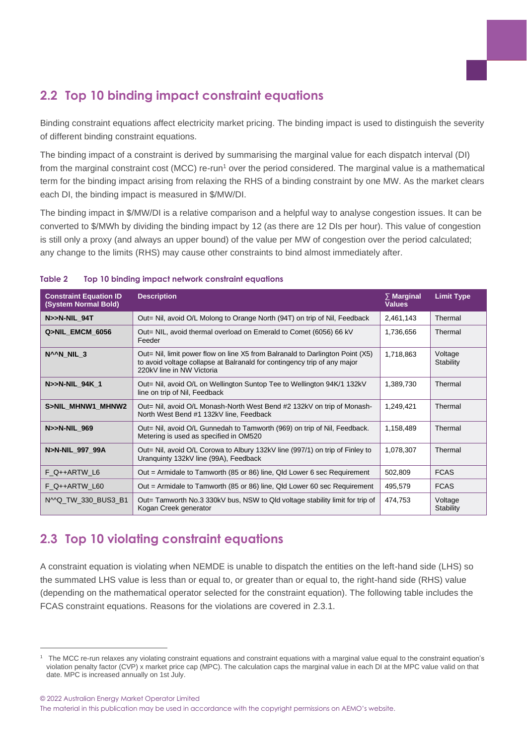## <span id="page-5-0"></span>**2.2 Top 10 binding impact constraint equations**

Binding constraint equations affect electricity market pricing. The binding impact is used to distinguish the severity of different binding constraint equations.

The binding impact of a constraint is derived by summarising the marginal value for each dispatch interval (DI) from the marginal constraint cost (MCC) re-run<sup>1</sup> over the period considered. The marginal value is a mathematical term for the binding impact arising from relaxing the RHS of a binding constraint by one MW. As the market clears each DI, the binding impact is measured in \$/MW/DI.

The binding impact in \$/MW/DI is a relative comparison and a helpful way to analyse congestion issues. It can be converted to \$/MWh by dividing the binding impact by 12 (as there are 12 DIs per hour). This value of congestion is still only a proxy (and always an upper bound) of the value per MW of congestion over the period calculated; any change to the limits (RHS) may cause other constraints to bind almost immediately after.

| <b>Constraint Equation ID</b><br>(System Normal Bold)                                                                        | <b>Description</b>                                                                                                                                                                     | $\Sigma$ Marginal<br><b>Values</b> | <b>Limit Type</b>    |
|------------------------------------------------------------------------------------------------------------------------------|----------------------------------------------------------------------------------------------------------------------------------------------------------------------------------------|------------------------------------|----------------------|
| N>>N-NIL_94T                                                                                                                 | Out= Nil, avoid O/L Molong to Orange North (94T) on trip of Nil, Feedback                                                                                                              | 2,461,143                          | Thermal              |
| Q>NIL_EMCM_6056                                                                                                              | Out= NIL, avoid thermal overload on Emerald to Comet (6056) 66 kV<br>Feeder                                                                                                            | 1,736,656                          | Thermal              |
| N <sup>A</sup> N NIL 3                                                                                                       | Out= Nil, limit power flow on line X5 from Balranald to Darlington Point (X5)<br>to avoid voltage collapse at Balranald for contingency trip of any major<br>220kV line in NW Victoria | 1,718,863                          | Voltage<br>Stability |
| N>>N-NIL 94K 1                                                                                                               | Out= Nil, avoid O/L on Wellington Suntop Tee to Wellington 94K/1 132kV<br>line on trip of Nil, Feedback                                                                                | 1,389,730                          | Thermal              |
| S>NIL MHNW1 MHNW2                                                                                                            | Out= Nil, avoid O/L Monash-North West Bend #2 132kV on trip of Monash-<br>North West Bend #1 132kV line, Feedback                                                                      | 1,249,421                          | Thermal              |
| N>>N-NIL 969                                                                                                                 | Out= Nil, avoid O/L Gunnedah to Tamworth (969) on trip of Nil, Feedback.<br>Metering is used as specified in OM520                                                                     | 1,158,489                          | Thermal              |
| N>N-NIL 997 99A                                                                                                              | Out= Nil, avoid O/L Corowa to Albury 132kV line (997/1) on trip of Finley to<br>Uranguinty 132kV line (99A), Feedback                                                                  | 1,078,307                          | Thermal              |
| F Q++ARTW L6<br>Out = Armidale to Tamworth (85 or 86) line, Qld Lower 6 sec Requirement                                      |                                                                                                                                                                                        | 502,809                            | <b>FCAS</b>          |
| Out = Armidale to Tamworth (85 or 86) line, Qld Lower 60 sec Requirement<br>F_Q++ARTW_L60                                    |                                                                                                                                                                                        | 495,579                            | <b>FCAS</b>          |
| N^^Q_TW_330_BUS3_B1<br>Out= Tamworth No.3 330kV bus, NSW to Qld voltage stability limit for trip of<br>Kogan Creek generator |                                                                                                                                                                                        | 474,753                            | Voltage<br>Stability |

#### <span id="page-5-2"></span>**Table 2 Top 10 binding impact network constraint equations**

## <span id="page-5-1"></span>**2.3 Top 10 violating constraint equations**

A constraint equation is violating when NEMDE is unable to dispatch the entities on the left-hand side (LHS) so the summated LHS value is less than or equal to, or greater than or equal to, the right-hand side (RHS) value (depending on the mathematical operator selected for the constraint equation). The following table includes the FCAS constraint equations. Reasons for the violations are covered in [2.3.1.](#page-6-2)

© 2022 Australian Energy Market Operator Limited The material in this publication may be used in accordance with the copyright permissions on AEMO's website.

<sup>&</sup>lt;sup>1</sup> The MCC re-run relaxes any violating constraint equations and constraint equations with a marginal value equal to the constraint equation's violation penalty factor (CVP) x market price cap (MPC). The calculation caps the marginal value in each DI at the MPC value valid on that date. MPC is increased annually on 1st July.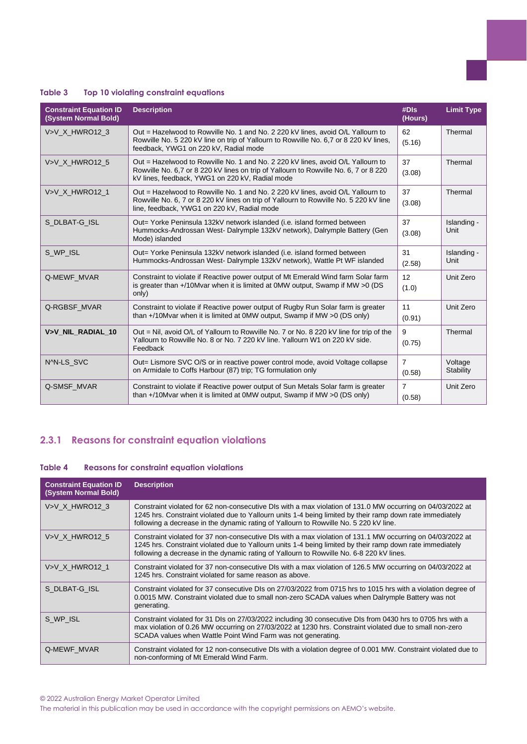#### <span id="page-6-0"></span>**Table 3 Top 10 violating constraint equations**

| <b>Constraint Equation ID</b><br>(System Normal Bold) | <b>Description</b>                                                                                                                                                                                                         |              | <b>Limit Type</b>    |
|-------------------------------------------------------|----------------------------------------------------------------------------------------------------------------------------------------------------------------------------------------------------------------------------|--------------|----------------------|
| V>V X HWRO12 3                                        | Out = Hazelwood to Rowville No. 1 and No. 2 220 kV lines, avoid O/L Yallourn to<br>Rowville No. 5 220 kV line on trip of Yallourn to Rowville No. 6.7 or 8 220 kV lines.<br>feedback, YWG1 on 220 kV, Radial mode          | 62<br>(5.16) | Thermal              |
| V>V_X_HWRO12_5                                        | Out = Hazelwood to Rowville No. 1 and No. 2 220 kV lines, avoid O/L Yallourn to<br>Rowville No. 6,7 or 8 220 kV lines on trip of Yallourn to Rowville No. 6, 7 or 8 220<br>kV lines, feedback, YWG1 on 220 kV, Radial mode |              | Thermal              |
| V>V X HWRO12 1                                        | Out = Hazelwood to Rowville No. 1 and No. 2 220 kV lines, avoid O/L Yallourn to<br>Rowville No. 6, 7 or 8 220 kV lines on trip of Yallourn to Rowville No. 5 220 kV line<br>line, feedback, YWG1 on 220 kV, Radial mode    | 37<br>(3.08) | Thermal              |
| S DLBAT-G ISL                                         | 37<br>Out= Yorke Peninsula 132kV network islanded (i.e. island formed between<br>Hummocks-Androssan West-Dalrymple 132kV network), Dalrymple Battery (Gen<br>(3.08)<br>Mode) islanded                                      |              | Islanding -<br>Unit  |
| S WP ISL                                              | Out= Yorke Peninsula 132kV network islanded (i.e. island formed between<br>Hummocks-Androssan West- Dalrymple 132kV network), Wattle Pt WF islanded                                                                        | 31<br>(2.58) | Islanding -<br>Unit  |
| Q-MEWF MVAR                                           | Constraint to violate if Reactive power output of Mt Emerald Wind farm Solar farm<br>12<br>is greater than +/10Mvar when it is limited at 0MW output, Swamp if MW >0 (DS)<br>only)                                         |              | Unit Zero            |
| Q-RGBSF MVAR                                          | 11<br>Constraint to violate if Reactive power output of Rugby Run Solar farm is greater<br>than +/10Mvar when it is limited at 0MW output, Swamp if MW >0 (DS only)<br>(0.91)                                              |              | Unit Zero            |
| V>V NIL RADIAL 10                                     | Out = Nil, avoid O/L of Yallourn to Rowville No. 7 or No. 8 220 kV line for trip of the<br>Yallourn to Rowville No. 8 or No. 7 220 kV line. Yallourn W1 on 220 kV side.<br>Feedback                                        |              | Thermal              |
| N^N-LS SVC                                            | Out= Lismore SVC O/S or in reactive power control mode, avoid Voltage collapse<br>on Armidale to Coffs Harbour (87) trip; TG formulation only                                                                              |              | Voltage<br>Stability |
| Q-SMSF_MVAR                                           | $\overline{7}$<br>Constraint to violate if Reactive power output of Sun Metals Solar farm is greater<br>than $+$ /10Mvar when it is limited at 0MW output, Swamp if MW $>0$ (DS only)<br>(0.58)                            |              | Unit Zero            |

### <span id="page-6-2"></span>**2.3.1 Reasons for constraint equation violations**

#### <span id="page-6-1"></span>**Table 4 Reasons for constraint equation violations**

| <b>Constraint Equation ID</b><br>(System Normal Bold) | <b>Description</b>                                                                                                                                                                                                                                                                                                  |
|-------------------------------------------------------|---------------------------------------------------------------------------------------------------------------------------------------------------------------------------------------------------------------------------------------------------------------------------------------------------------------------|
| V>V X HWRO12 3                                        | Constraint violated for 62 non-consecutive DIs with a max violation of 131.0 MW occurring on 04/03/2022 at<br>1245 hrs. Constraint violated due to Yallourn units 1-4 being limited by their ramp down rate immediately<br>following a decrease in the dynamic rating of Yallourn to Rowville No. 5 220 kV line.    |
| V>V X HWRO12 5                                        | Constraint violated for 37 non-consecutive DIs with a max violation of 131.1 MW occurring on 04/03/2022 at<br>1245 hrs. Constraint violated due to Yallourn units 1-4 being limited by their ramp down rate immediately<br>following a decrease in the dynamic rating of Yallourn to Rowville No. 6-8 220 kV lines. |
| V>V X HWRO12 1                                        | Constraint violated for 37 non-consecutive DIs with a max violation of 126.5 MW occurring on 04/03/2022 at<br>1245 hrs. Constraint violated for same reason as above.                                                                                                                                               |
| S DLBAT-G_ISL                                         | Constraint violated for 37 consecutive DIs on 27/03/2022 from 0715 hrs to 1015 hrs with a violation degree of<br>0.0015 MW. Constraint violated due to small non-zero SCADA values when Dalrymple Battery was not<br>generating.                                                                                    |
| S WP_ISL                                              | Constraint violated for 31 DIs on 27/03/2022 including 30 consecutive DIs from 0430 hrs to 0705 hrs with a<br>max violation of 0.26 MW occurring on 27/03/2022 at 1230 hrs. Constraint violated due to small non-zero<br>SCADA values when Wattle Point Wind Farm was not generating.                               |
| Q-MEWF_MVAR                                           | Constraint violated for 12 non-consecutive DIs with a violation degree of 0.001 MW. Constraint violated due to<br>non-conforming of Mt Emerald Wind Farm.                                                                                                                                                           |

The material in this publication may be used in accordance with the copyright permissions on AEMO's website.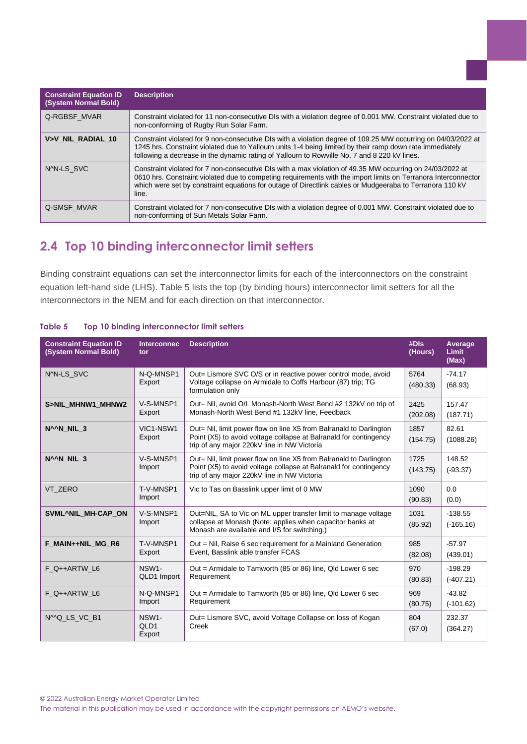| <b>Constraint Equation ID</b><br>(System Normal Bold) | <b>Description</b>                                                                                                                                                                                                                                                                                                                               |
|-------------------------------------------------------|--------------------------------------------------------------------------------------------------------------------------------------------------------------------------------------------------------------------------------------------------------------------------------------------------------------------------------------------------|
| Q-RGBSF MVAR                                          | Constraint violated for 11 non-consecutive DIs with a violation degree of 0.001 MW. Constraint violated due to<br>non-conforming of Rugby Run Solar Farm.                                                                                                                                                                                        |
| V>V NIL RADIAL 10                                     | Constraint violated for 9 non-consecutive DIs with a violation degree of 109.25 MW occurring on 04/03/2022 at<br>1245 hrs. Constraint violated due to Yallourn units 1-4 being limited by their ramp down rate immediately<br>following a decrease in the dynamic rating of Yallourn to Rowville No. 7 and 8 220 kV lines.                       |
| NAN-LS SVC                                            | Constraint violated for 7 non-consecutive DIs with a max violation of 49.35 MW occurring on 24/03/2022 at<br>0610 hrs. Constraint violated due to competing requirements with the import limits on Terranora Interconnector<br>which were set by constraint equations for outage of Directlink cables or Mudgeeraba to Terranora 110 kV<br>line. |
| Q-SMSF MVAR                                           | Constraint violated for 7 non-consecutive DIs with a violation degree of 0.001 MW. Constraint violated due to<br>non-conforming of Sun Metals Solar Farm.                                                                                                                                                                                        |

## <span id="page-7-0"></span>**2.4 Top 10 binding interconnector limit setters**

Binding constraint equations can set the interconnector limits for each of the interconnectors on the constraint equation left-hand side (LHS). [Table 5](#page-7-1) lists the top (by binding hours) interconnector limit setters for all the interconnectors in the NEM and for each direction on that interconnector.

| <b>Constraint Equation ID</b><br>(System Normal Bold) | <b>Interconnec</b><br>tor           | <b>Description</b>                                                                                                                                                                              |                  | Average<br><b>Limit</b><br>(Max) |
|-------------------------------------------------------|-------------------------------------|-------------------------------------------------------------------------------------------------------------------------------------------------------------------------------------------------|------------------|----------------------------------|
| NAN-LS SVC                                            | N-Q-MNSP1<br>Export                 | Out= Lismore SVC O/S or in reactive power control mode, avoid<br>Voltage collapse on Armidale to Coffs Harbour (87) trip; TG<br>formulation only                                                | 5764<br>(480.33) | $-74.17$<br>(68.93)              |
| S>NIL_MHNW1_MHNW2                                     | V-S-MNSP1<br>Export                 | Out= Nil, avoid O/L Monash-North West Bend #2 132kV on trip of<br>Monash-North West Bend #1 132kV line, Feedback                                                                                | 2425<br>(202.08) | 157.47<br>(187.71)               |
| N <sup>A</sup> N NIL 3                                | VIC1-NSW1<br>Export                 | Out= Nil, limit power flow on line X5 from Balranald to Darlington<br>Point (X5) to avoid voltage collapse at Balranald for contingency<br>trip of any major 220kV line in NW Victoria          | 1857<br>(154.75) | 82.61<br>(1088.26)               |
| N <sup>A</sup> N NIL 3                                | V-S-MNSP1<br>Import                 | Out= Nil, limit power flow on line X5 from Balranald to Darlington<br>Point (X5) to avoid voltage collapse at Balranald for contingency<br>trip of any major 220kV line in NW Victoria          | 1725<br>(143.75) | 148.52<br>$(-93.37)$             |
| VT ZERO                                               | T-V-MNSP1<br>Import                 | Vic to Tas on Basslink upper limit of 0 MW                                                                                                                                                      |                  | 0.0<br>(0.0)                     |
| SVML^NIL_MH-CAP_ON                                    | V-S-MNSP1<br>Import                 | 1031<br>Out=NIL, SA to Vic on ML upper transfer limit to manage voltage<br>collapse at Monash (Note: applies when capacitor banks at<br>(85.92)<br>Monash are available and I/S for switching.) |                  | $-138.55$<br>$(-165.16)$         |
| F MAIN++NIL MG R6                                     | T-V-MNSP1<br>Export                 | Out = Nil, Raise 6 sec requirement for a Mainland Generation<br>Event, Basslink able transfer FCAS                                                                                              |                  | $-57.97$<br>(439.01)             |
| $F$ Q++ARTW L6                                        | NSW1-<br>QLD1 Import                | 970<br>Out = Armidale to Tamworth (85 or 86) line, Qld Lower 6 sec<br>Requirement<br>(80.83)                                                                                                    |                  | $-198.29$<br>$(-407.21)$         |
| F Q++ARTW L6                                          | N-Q-MNSP1<br>Import                 | Out = Armidale to Tamworth (85 or 86) line, Qld Lower 6 sec<br>Requirement                                                                                                                      |                  | $-43.82$<br>$(-101.62)$          |
| N <sub>MQ</sub> LS VC B <sub>1</sub>                  | NSW1-<br>QLD <sub>1</sub><br>Export | Out= Lismore SVC, avoid Voltage Collapse on loss of Kogan<br>Creek                                                                                                                              |                  | 232.37<br>(364.27)               |

#### <span id="page-7-1"></span>**Table 5 Top 10 binding interconnector limit setters**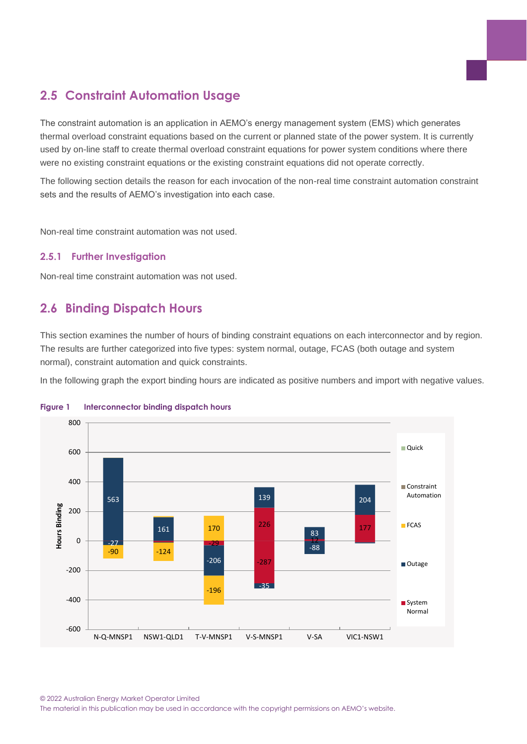## <span id="page-8-0"></span>**2.5 Constraint Automation Usage**

The constraint automation is an application in AEMO's energy management system (EMS) which generates thermal overload constraint equations based on the current or planned state of the power system. It is currently used by on-line staff to create thermal overload constraint equations for power system conditions where there were no existing constraint equations or the existing constraint equations did not operate correctly.

The following section details the reason for each invocation of the non-real time constraint automation constraint sets and the results of AEMO's investigation into each case.

Non-real time constraint automation was not used.

#### **2.5.1 Further Investigation**

Non-real time constraint automation was not used.

## <span id="page-8-1"></span>**2.6 Binding Dispatch Hours**

This section examines the number of hours of binding constraint equations on each interconnector and by region. The results are further categorized into five types: system normal, outage, FCAS (both outage and system normal), constraint automation and quick constraints.

In the following graph the export binding hours are indicated as positive numbers and import with negative values.



#### <span id="page-8-2"></span>**Figure 1 Interconnector binding dispatch hours**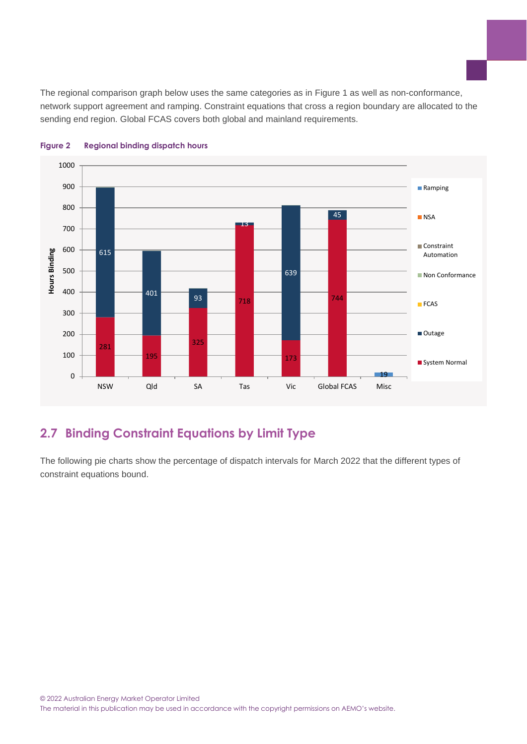The regional comparison graph below uses the same categories as in [Figure 1](#page-8-2) as well as non-conformance, network support agreement and ramping. Constraint equations that cross a region boundary are allocated to the sending end region. Global FCAS covers both global and mainland requirements.



#### <span id="page-9-1"></span>**Figure 2 Regional binding dispatch hours**

## <span id="page-9-0"></span>**2.7 Binding Constraint Equations by Limit Type**

The following pie charts show the percentage of dispatch intervals for March 2022 that the different types of constraint equations bound.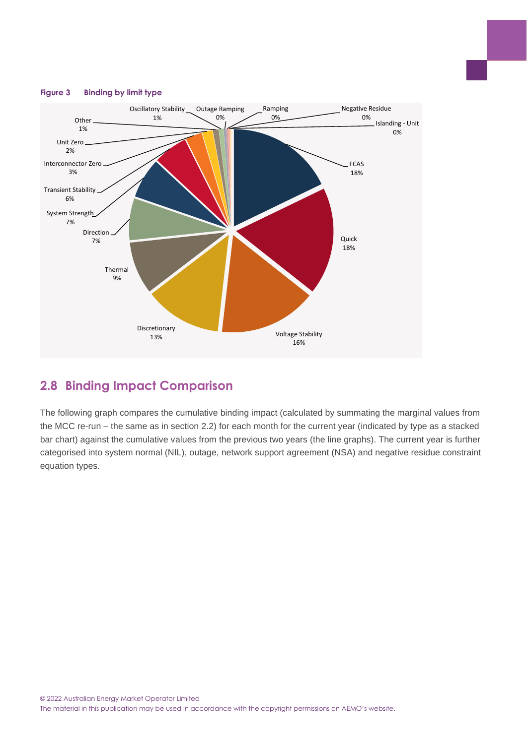

#### <span id="page-10-1"></span>**Figure 3 Binding by limit type**

### <span id="page-10-0"></span>**2.8 Binding Impact Comparison**

The following graph compares the cumulative binding impact (calculated by summating the marginal values from the MCC re-run – the same as in section [2.2\)](#page-5-0) for each month for the current year (indicated by type as a stacked bar chart) against the cumulative values from the previous two years (the line graphs). The current year is further categorised into system normal (NIL), outage, network support agreement (NSA) and negative residue constraint equation types.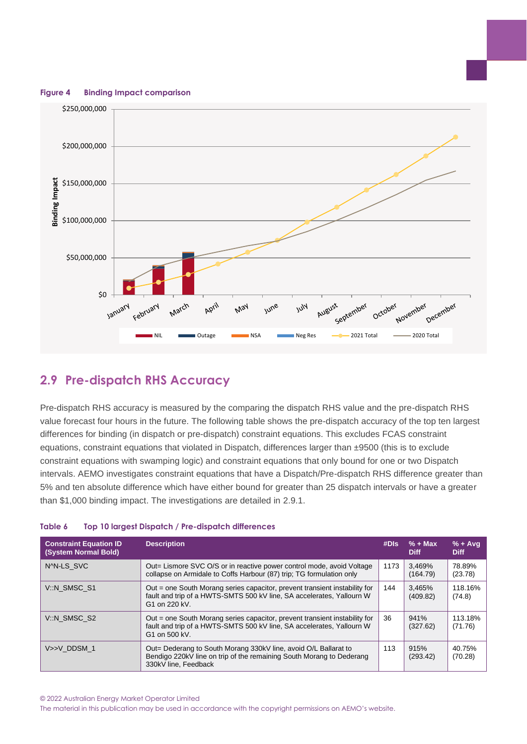<span id="page-11-2"></span>**Figure 4 Binding Impact comparison**



## <span id="page-11-0"></span>**2.9 Pre-dispatch RHS Accuracy**

Pre-dispatch RHS accuracy is measured by the comparing the dispatch RHS value and the pre-dispatch RHS value forecast four hours in the future. The following table shows the pre-dispatch accuracy of the top ten largest differences for binding (in dispatch or pre-dispatch) constraint equations. This excludes FCAS constraint equations, constraint equations that violated in Dispatch, differences larger than ±9500 (this is to exclude constraint equations with swamping logic) and constraint equations that only bound for one or two Dispatch intervals. AEMO investigates constraint equations that have a Dispatch/Pre-dispatch RHS difference greater than 5% and ten absolute difference which have either bound for greater than 25 dispatch intervals or have a greater than \$1,000 binding impact. The investigations are detailed in [2.9.1.](#page-12-0)

| <b>Constraint Equation ID</b><br>(System Normal Bold) | <b>Description</b>                                                                                                                                                   | #DIs | $% + Max$<br><b>Diff</b> | $% + Ava$<br><b>Diff</b> |
|-------------------------------------------------------|----------------------------------------------------------------------------------------------------------------------------------------------------------------------|------|--------------------------|--------------------------|
| NAN-LS SVC                                            | Out= Lismore SVC O/S or in reactive power control mode, avoid Voltage<br>collapse on Armidale to Coffs Harbour (87) trip; TG formulation only                        | 1173 | 3.469%<br>(164.79)       | 78.89%<br>(23.78)        |
| V::N SMSC S1                                          | Out = one South Morang series capacitor, prevent transient instability for<br>fault and trip of a HWTS-SMTS 500 kV line, SA accelerates, Yallourn W<br>G1 on 220 kV. | 144  | 3.465%<br>(409.82)       | 118.16%<br>(74.8)        |
| V::N SMSC S2                                          | Out = one South Morang series capacitor, prevent transient instability for<br>fault and trip of a HWTS-SMTS 500 kV line, SA accelerates, Yallourn W<br>G1 on 500 kV. |      | 941%<br>(327.62)         | 113.18%<br>(71.76)       |
| V>>V DDSM 1                                           | Out= Dederang to South Morang 330kV line, avoid O/L Ballarat to<br>Bendigo 220kV line on trip of the remaining South Morang to Dederang<br>330kV line. Feedback      | 113  | 915%<br>(293.42)         | 40.75%<br>(70.28)        |

#### <span id="page-11-1"></span>**Table 6 Top 10 largest Dispatch / Pre-dispatch differences**

© 2022 Australian Energy Market Operator Limited

The material in this publication may be used in accordance with the copyright permissions on AEMO's website.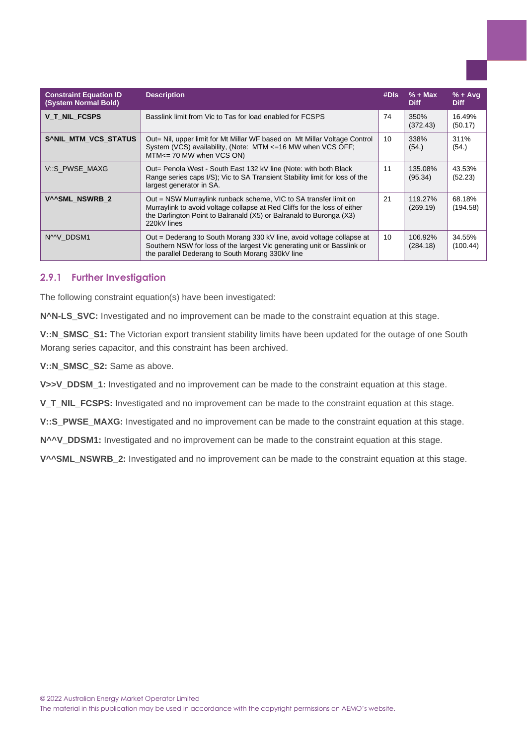| <b>Constraint Equation ID</b><br>(System Normal Bold) | <b>Description</b>                                                                                                                                                                                                                  | #DIs | $% + Max$<br><b>Diff</b> | $% + Ava$<br><b>Diff</b> |
|-------------------------------------------------------|-------------------------------------------------------------------------------------------------------------------------------------------------------------------------------------------------------------------------------------|------|--------------------------|--------------------------|
| V T NIL FCSPS                                         | Basslink limit from Vic to Tas for load enabled for FCSPS                                                                                                                                                                           | 74   | 350%<br>(372.43)         | 16.49%<br>(50.17)        |
| SANIL MTM VCS STATUS                                  | Out= Nil, upper limit for Mt Millar WF based on Mt Millar Voltage Control<br>10 <sup>1</sup><br>System (VCS) availability, (Note: MTM <= 16 MW when VCS OFF;<br>MTM<= 70 MW when VCS ON)                                            |      | 338%<br>(54.)            | 311%<br>(54.)            |
| V::S PWSE MAXG                                        | Out= Penola West - South East 132 kV line (Note: with both Black<br>Range series caps I/S); Vic to SA Transient Stability limit for loss of the<br>largest generator in SA.                                                         | 11   | 135.08%<br>(95.34)       | 43.53%<br>(52.23)        |
| V^^SML NSWRB 2                                        | Out = NSW Murraylink runback scheme, VIC to SA transfer limit on<br>Murraylink to avoid voltage collapse at Red Cliffs for the loss of either<br>the Darlington Point to Balranald (X5) or Balranald to Buronga (X3)<br>220kV lines |      | 119.27%<br>(269.19)      | 68.18%<br>(194.58)       |
| N <sup>M</sup> V DDSM1                                | Out = Dederang to South Morang 330 kV line, avoid voltage collapse at<br>Southern NSW for loss of the largest Vic generating unit or Basslink or<br>the parallel Dederang to South Morang 330kV line                                | 10   | 106.92%<br>(284.18)      | 34.55%<br>(100.44)       |

#### <span id="page-12-0"></span>**2.9.1 Further Investigation**

The following constraint equation(s) have been investigated:

**N^N-LS\_SVC:** Investigated and no improvement can be made to the constraint equation at this stage.

**V::N\_SMSC\_S1:** The Victorian export transient stability limits have been updated for the outage of one South Morang series capacitor, and this constraint has been archived.

**V::N\_SMSC\_S2:** Same as above.

**V>>V\_DDSM\_1:** Investigated and no improvement can be made to the constraint equation at this stage.

**V\_T\_NIL\_FCSPS:** Investigated and no improvement can be made to the constraint equation at this stage.

**V::S\_PWSE\_MAXG:** Investigated and no improvement can be made to the constraint equation at this stage.

N^^V\_DDSM1: Investigated and no improvement can be made to the constraint equation at this stage.

**V^^SML\_NSWRB\_2:** Investigated and no improvement can be made to the constraint equation at this stage.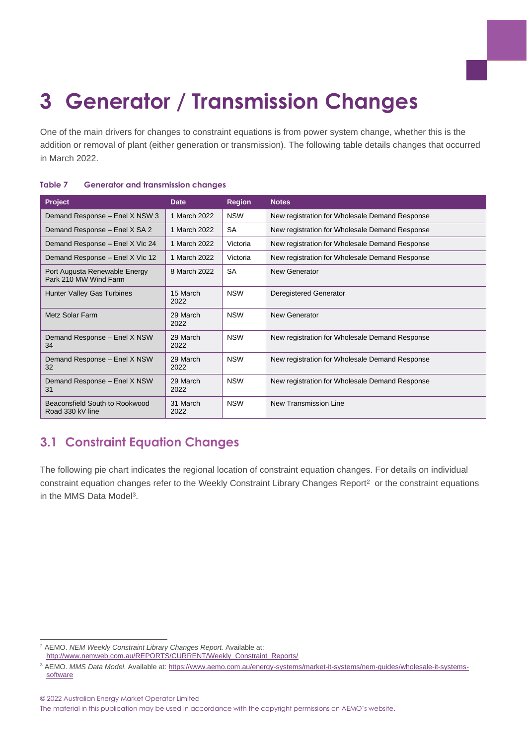# <span id="page-13-0"></span>**3 Generator / Transmission Changes**

One of the main drivers for changes to constraint equations is from power system change, whether this is the addition or removal of plant (either generation or transmission). The following table details changes that occurred in March 2022.

| Project                                                | Date             | <b>Region</b> | <b>Notes</b>                                   |
|--------------------------------------------------------|------------------|---------------|------------------------------------------------|
| Demand Response - Enel X NSW 3                         | 1 March 2022     | <b>NSW</b>    | New registration for Wholesale Demand Response |
| Demand Response - Enel X SA 2                          | 1 March 2022     | <b>SA</b>     | New registration for Wholesale Demand Response |
| Demand Response - Enel X Vic 24                        | 1 March 2022     | Victoria      | New registration for Wholesale Demand Response |
| Demand Response - Enel X Vic 12                        | 1 March 2022     | Victoria      | New registration for Wholesale Demand Response |
| Port Augusta Renewable Energy<br>Park 210 MW Wind Farm | 8 March 2022     | <b>SA</b>     | New Generator                                  |
| Hunter Valley Gas Turbines                             | 15 March<br>2022 | <b>NSW</b>    | Deregistered Generator                         |
| Metz Solar Farm                                        | 29 March<br>2022 | <b>NSW</b>    | New Generator                                  |
| Demand Response - Enel X NSW<br>34                     | 29 March<br>2022 | <b>NSW</b>    | New registration for Wholesale Demand Response |
| Demand Response - Enel X NSW<br>32                     | 29 March<br>2022 | <b>NSW</b>    | New registration for Wholesale Demand Response |
| Demand Response - Enel X NSW<br>31                     | 29 March<br>2022 | <b>NSW</b>    | New registration for Wholesale Demand Response |
| Beaconsfield South to Rookwood<br>Road 330 kV line     | 31 March<br>2022 | <b>NSW</b>    | New Transmission Line                          |

#### <span id="page-13-2"></span>**Table 7 Generator and transmission changes**

## <span id="page-13-1"></span>**3.1 Constraint Equation Changes**

The following pie chart indicates the regional location of constraint equation changes. For details on individual constraint equation changes refer to the Weekly Constraint Library Changes Report<sup>2</sup> or the constraint equations in the MMS Data Model<sup>3</sup>.

© 2022 Australian Energy Market Operator Limited

<sup>2</sup> AEMO. *NEM Weekly Constraint Library Changes Report.* Available at: [http://www.nemweb.com.au/REPORTS/CURRENT/Weekly\\_Constraint\\_Reports/](http://www.nemweb.com.au/REPORTS/CURRENT/Weekly_Constraint_Reports/)

<sup>3</sup> AEMO. *MMS Data Model*. Available at[: https://www.aemo.com.au/energy-systems/market-it-systems/nem-guides/wholesale-it-systems](https://www.aemo.com.au/energy-systems/market-it-systems/nem-guides/wholesale-it-systems-software)[software](https://www.aemo.com.au/energy-systems/market-it-systems/nem-guides/wholesale-it-systems-software)

The material in this publication may be used in accordance with the copyright permissions on AEMO's website.